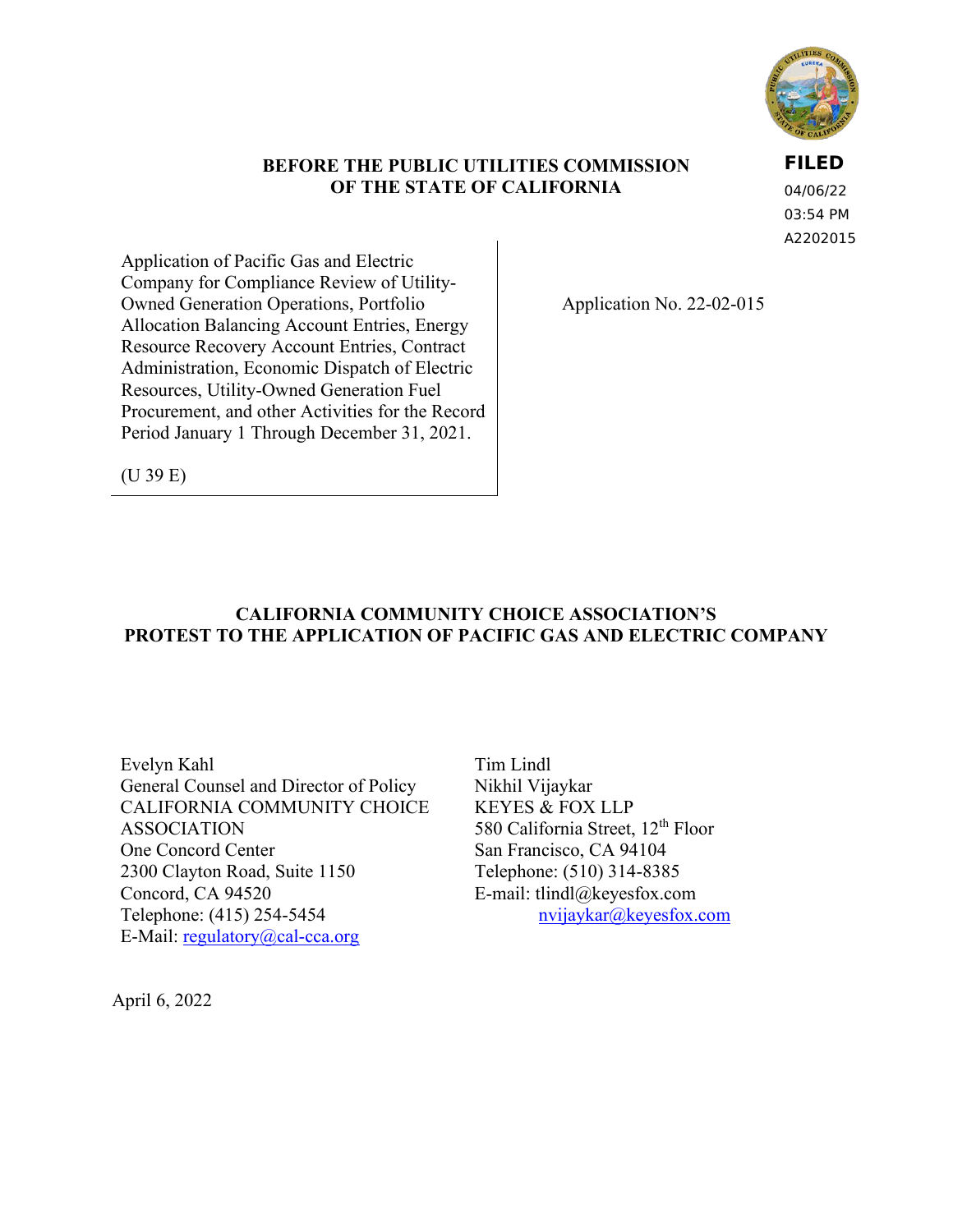

#### **BEFORE THE PUBLIC UTILITIES COMMISSION OF THE STATE OF CALIFORNIA**

**FILED**

04/06/22 03:54 PM A2202015

Application of Pacific Gas and Electric Company for Compliance Review of Utility-Owned Generation Operations, Portfolio Allocation Balancing Account Entries, Energy Resource Recovery Account Entries, Contract Administration, Economic Dispatch of Electric Resources, Utility-Owned Generation Fuel Procurement, and other Activities for the Record Period January 1 Through December 31, 2021.

Application No. 22-02-015

(U 39 E)

## **CALIFORNIA COMMUNITY CHOICE ASSOCIATION'S PROTEST TO THE APPLICATION OF PACIFIC GAS AND ELECTRIC COMPANY**

Evelyn Kahl General Counsel and Director of Policy CALIFORNIA COMMUNITY CHOICE ASSOCIATION One Concord Center 2300 Clayton Road, Suite 1150 Concord, CA 94520 Telephone: (415) 254-5454 E-Mail: [regulatory@cal-cca.org](mailto:regulatory@cal-cca.org)

Tim Lindl Nikhil Vijaykar KEYES & FOX LLP 580 California Street, 12<sup>th</sup> Floor San Francisco, CA 94104 Telephone: (510) 314-8385 E-mail: [tlindl@keyesfox.com](mailto:tlindl@keyesfox.com) [nvijaykar@keyesfox.com](mailto:nvijaykar@keyesfox.com)

April 6, 2022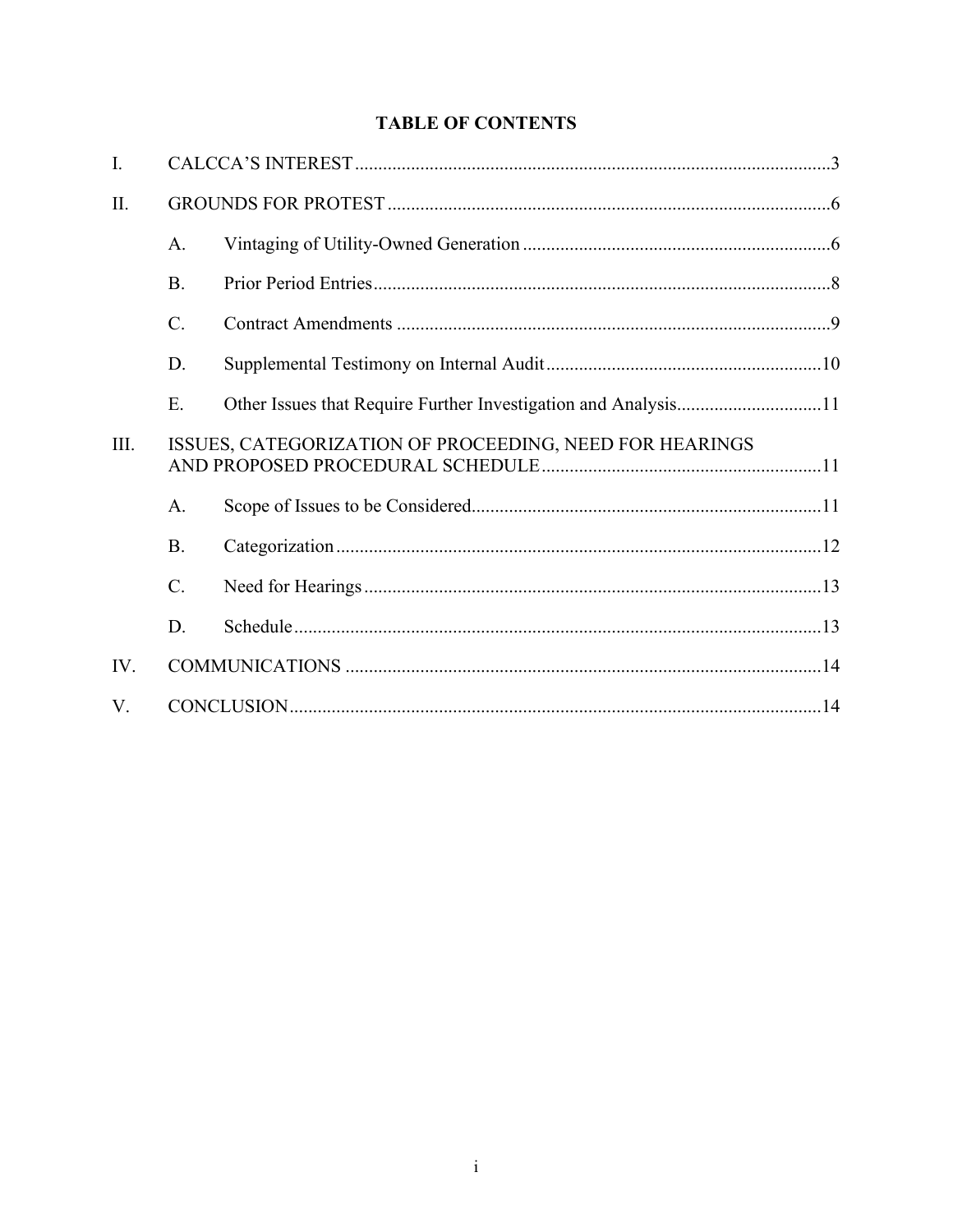# **TABLE OF CONTENTS**

| I.   |                                                         |  |  |
|------|---------------------------------------------------------|--|--|
| II.  |                                                         |  |  |
|      | $A$ .                                                   |  |  |
|      | <b>B.</b>                                               |  |  |
|      | C.                                                      |  |  |
|      | D.                                                      |  |  |
|      | E.                                                      |  |  |
| III. | ISSUES, CATEGORIZATION OF PROCEEDING, NEED FOR HEARINGS |  |  |
|      | A.                                                      |  |  |
|      | <b>B.</b>                                               |  |  |
|      | C.                                                      |  |  |
|      | D.                                                      |  |  |
| IV.  |                                                         |  |  |
| V.   |                                                         |  |  |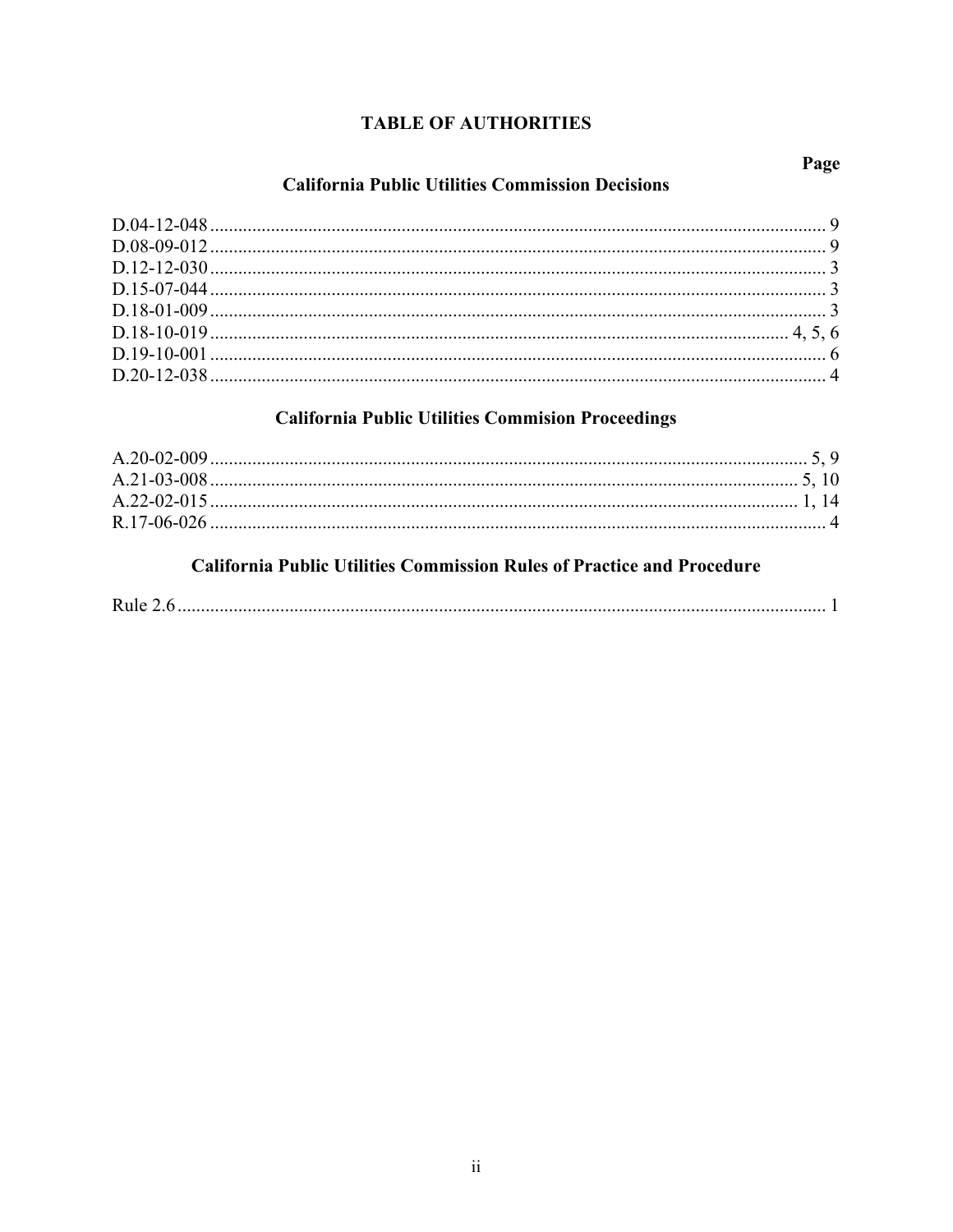# **TABLE OF AUTHORITIES**

# **California Public Utilities Commission Decisions**

# **California Public Utilities Commision Proceedings**

# **California Public Utilities Commission Rules of Practice and Procedure**

|--|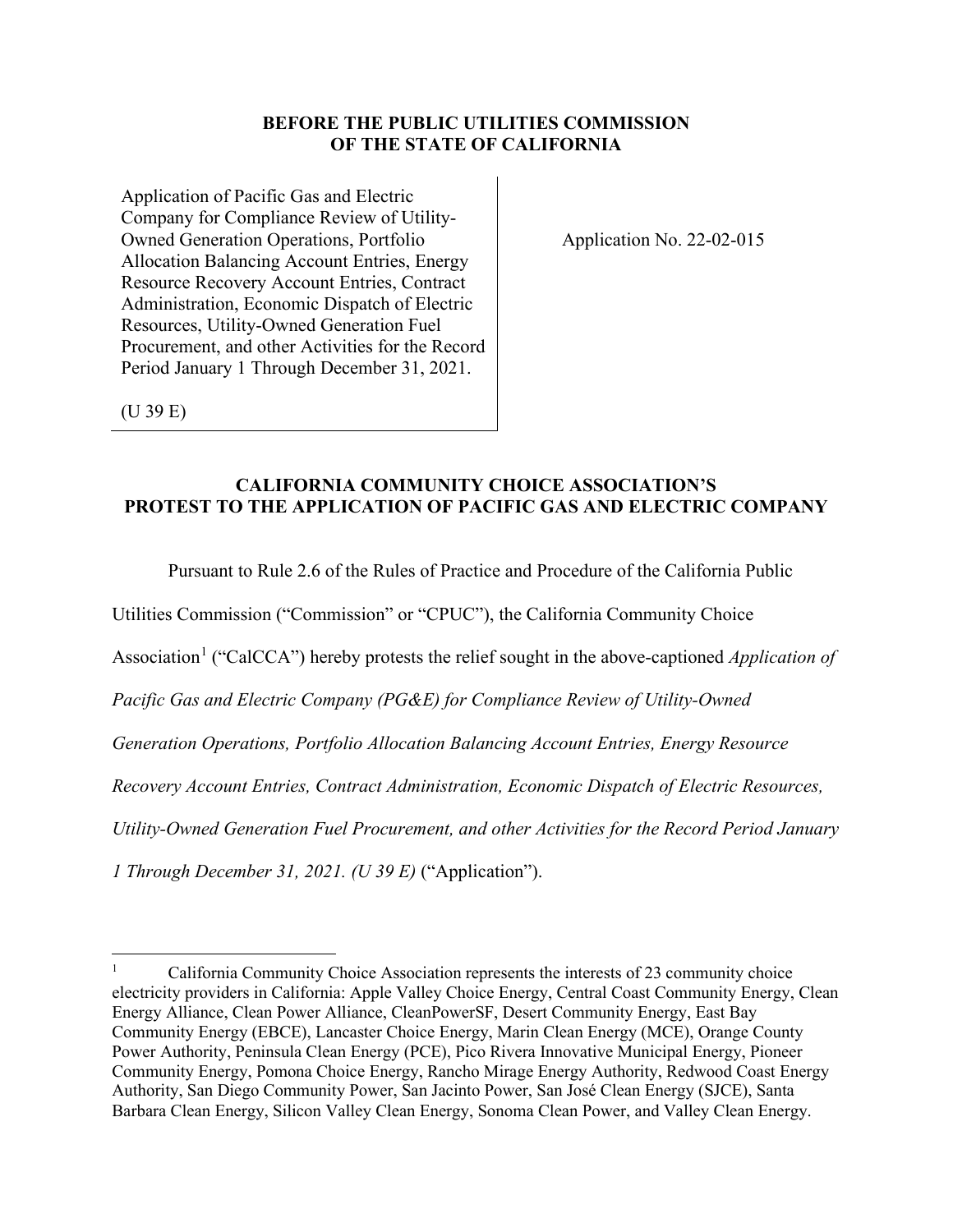### **BEFORE THE PUBLIC UTILITIES COMMISSION OF THE STATE OF CALIFORNIA**

Application of Pacific Gas and Electric Company for Compliance Review of Utility-Owned Generation Operations, Portfolio Allocation Balancing Account Entries, Energy Resource Recovery Account Entries, Contract Administration, Economic Dispatch of Electric Resources, Utility-Owned Generation Fuel Procurement, and other Activities for the Record Period January 1 Through December 31, 2021.

Application No. 22-02-015

(U 39 E)

### **CALIFORNIA COMMUNITY CHOICE ASSOCIATION'S PROTEST TO THE APPLICATION OF PACIFIC GAS AND ELECTRIC COMPANY**

Pursuant to Rule 2.6 of the Rules of Practice and Procedure of the California Public

Utilities Commission ("Commission" or "CPUC"), the California Community Choice

Association<sup>[1](#page-3-0)</sup> ("CalCCA") hereby protests the relief sought in the above-captioned *Application of* 

*Pacific Gas and Electric Company (PG&E) for Compliance Review of Utility-Owned* 

*Generation Operations, Portfolio Allocation Balancing Account Entries, Energy Resource* 

*Recovery Account Entries, Contract Administration, Economic Dispatch of Electric Resources,* 

*Utility-Owned Generation Fuel Procurement, and other Activities for the Record Period January* 

*1 Through December 31, 2021. (U 39 E)* ("Application").

<span id="page-3-0"></span><sup>1</sup> California Community Choice Association represents the interests of 23 community choice electricity providers in California: Apple Valley Choice Energy, Central Coast Community Energy, Clean Energy Alliance, Clean Power Alliance, CleanPowerSF, Desert Community Energy, East Bay Community Energy (EBCE), Lancaster Choice Energy, Marin Clean Energy (MCE), Orange County Power Authority, Peninsula Clean Energy (PCE), Pico Rivera Innovative Municipal Energy, Pioneer Community Energy, Pomona Choice Energy, Rancho Mirage Energy Authority, Redwood Coast Energy Authority, San Diego Community Power, San Jacinto Power, San José Clean Energy (SJCE), Santa Barbara Clean Energy, Silicon Valley Clean Energy, Sonoma Clean Power, and Valley Clean Energy.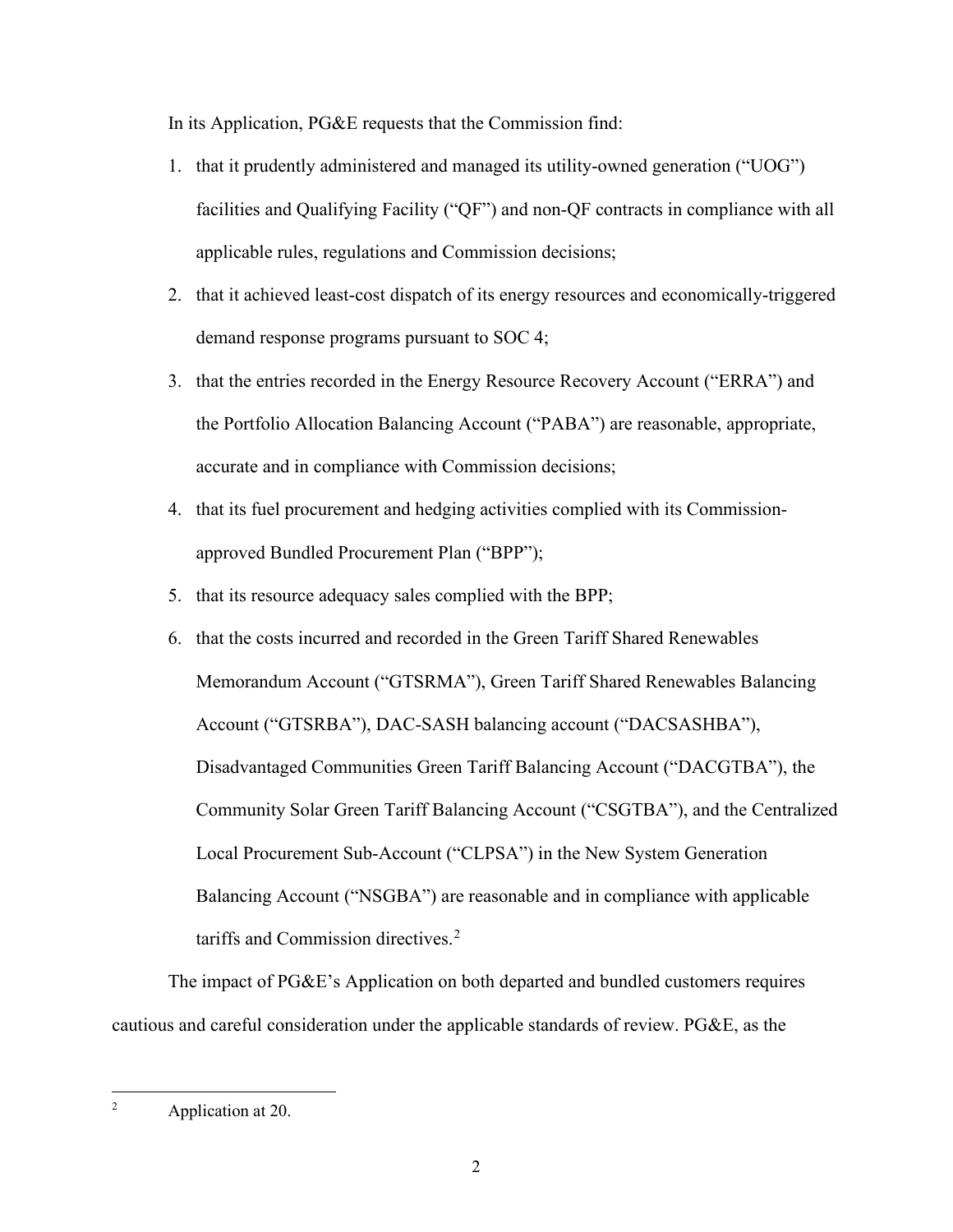In its Application, PG&E requests that the Commission find:

- 1. that it prudently administered and managed its utility-owned generation ("UOG") facilities and Qualifying Facility ("QF") and non-QF contracts in compliance with all applicable rules, regulations and Commission decisions;
- 2. that it achieved least-cost dispatch of its energy resources and economically-triggered demand response programs pursuant to SOC 4;
- 3. that the entries recorded in the Energy Resource Recovery Account ("ERRA") and the Portfolio Allocation Balancing Account ("PABA") are reasonable, appropriate, accurate and in compliance with Commission decisions;
- 4. that its fuel procurement and hedging activities complied with its Commissionapproved Bundled Procurement Plan ("BPP");
- 5. that its resource adequacy sales complied with the BPP;
- 6. that the costs incurred and recorded in the Green Tariff Shared Renewables Memorandum Account ("GTSRMA"), Green Tariff Shared Renewables Balancing Account ("GTSRBA"), DAC-SASH balancing account ("DACSASHBA"), Disadvantaged Communities Green Tariff Balancing Account ("DACGTBA"), the Community Solar Green Tariff Balancing Account ("CSGTBA"), and the Centralized Local Procurement Sub-Account ("CLPSA") in the New System Generation Balancing Account ("NSGBA") are reasonable and in compliance with applicable tariffs and Commission directives.<sup>[2](#page-4-0)</sup>

The impact of PG&E's Application on both departed and bundled customers requires cautious and careful consideration under the applicable standards of review. PG&E, as the

<span id="page-4-0"></span><sup>2</sup> Application at 20.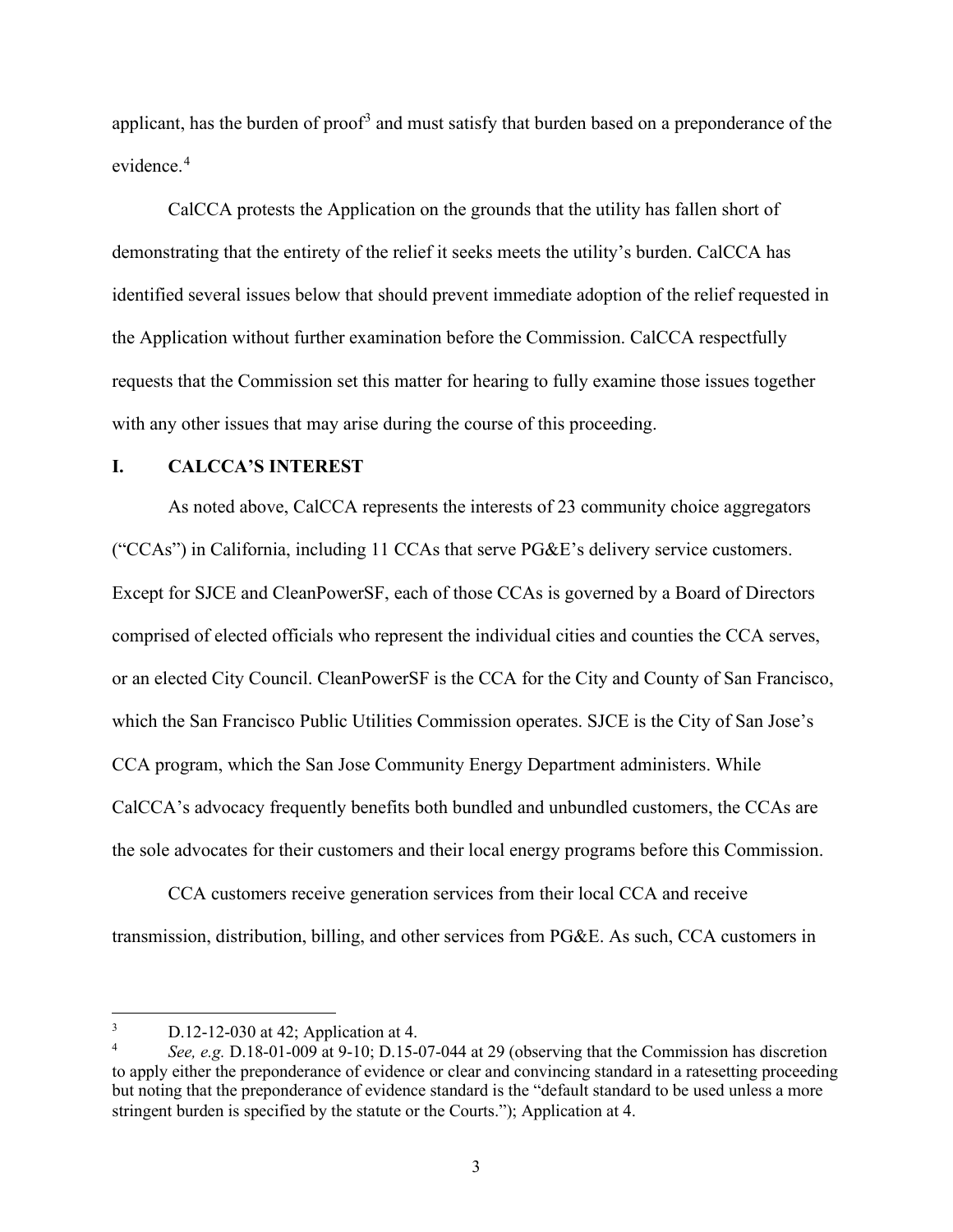applicant, has the burden of proof<sup>[3](#page-5-1)</sup> and must satisfy that burden based on a preponderance of the evidence.<sup>[4](#page-5-2)</sup>

CalCCA protests the Application on the grounds that the utility has fallen short of demonstrating that the entirety of the relief it seeks meets the utility's burden. CalCCA has identified several issues below that should prevent immediate adoption of the relief requested in the Application without further examination before the Commission. CalCCA respectfully requests that the Commission set this matter for hearing to fully examine those issues together with any other issues that may arise during the course of this proceeding.

### <span id="page-5-0"></span>**I. CALCCA'S INTEREST**

As noted above, CalCCA represents the interests of 23 community choice aggregators ("CCAs") in California, including 11 CCAs that serve PG&E's delivery service customers. Except for SJCE and CleanPowerSF, each of those CCAs is governed by a Board of Directors comprised of elected officials who represent the individual cities and counties the CCA serves, or an elected City Council. CleanPowerSF is the CCA for the City and County of San Francisco, which the San Francisco Public Utilities Commission operates. SJCE is the City of San Jose's CCA program, which the San Jose Community Energy Department administers. While CalCCA's advocacy frequently benefits both bundled and unbundled customers, the CCAs are the sole advocates for their customers and their local energy programs before this Commission.

CCA customers receive generation services from their local CCA and receive transmission, distribution, billing, and other services from PG&E. As such, CCA customers in

<span id="page-5-1"></span><sup>3</sup> D.12-12-030 at 42; Application at 4.

<span id="page-5-2"></span><sup>4</sup> *See, e.g.* D.18-01-009 at 9-10; D.15-07-044 at 29 (observing that the Commission has discretion to apply either the preponderance of evidence or clear and convincing standard in a ratesetting proceeding but noting that the preponderance of evidence standard is the "default standard to be used unless a more stringent burden is specified by the statute or the Courts."); Application at 4.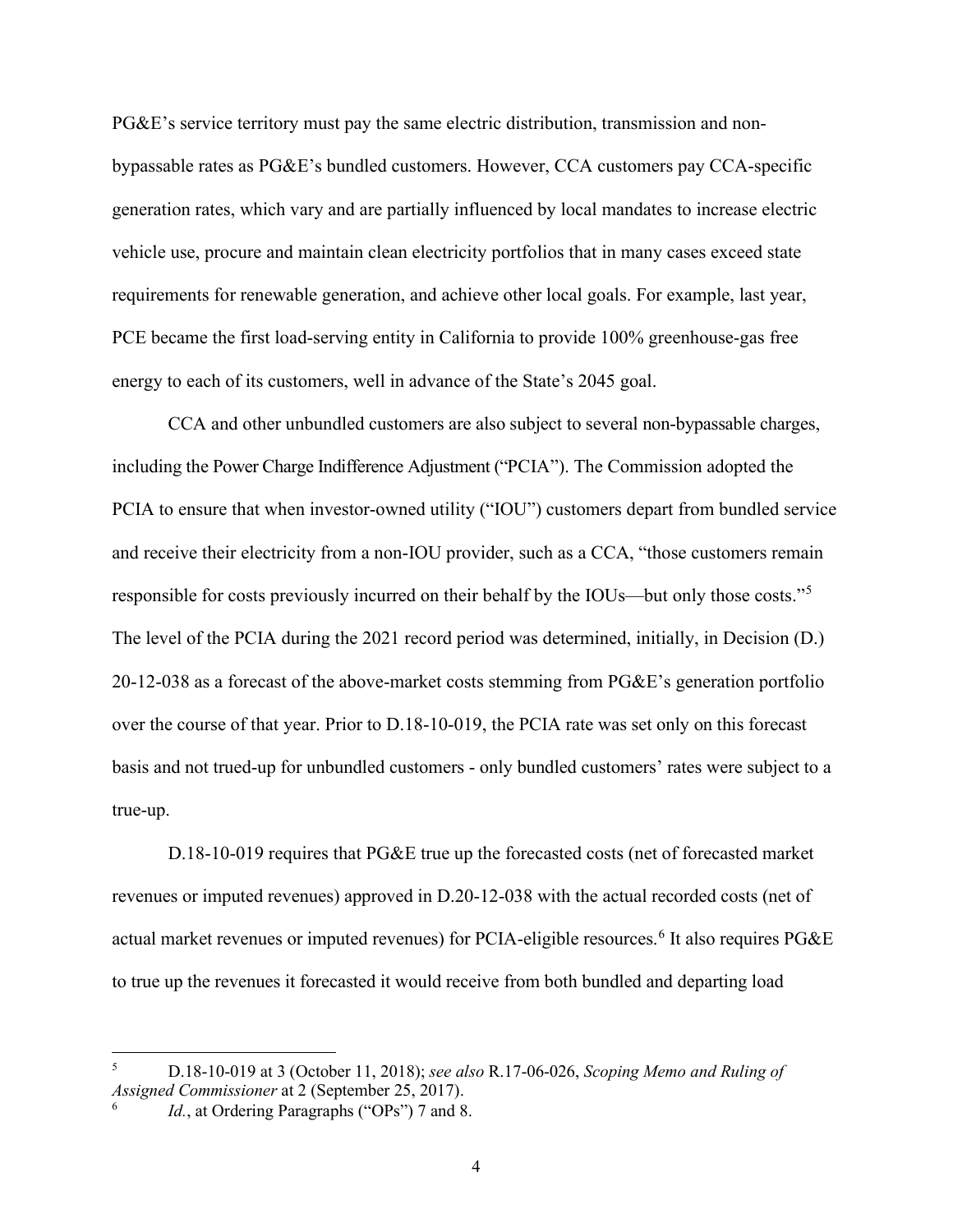PG&E's service territory must pay the same electric distribution, transmission and nonbypassable rates as PG&E's bundled customers. However, CCA customers pay CCA-specific generation rates, which vary and are partially influenced by local mandates to increase electric vehicle use, procure and maintain clean electricity portfolios that in many cases exceed state requirements for renewable generation, and achieve other local goals. For example, last year, PCE became the first load-serving entity in California to provide 100% greenhouse-gas free energy to each of its customers, well in advance of the State's 2045 goal.

CCA and other unbundled customers are also subject to several non-bypassable charges, including the Power Charge Indifference Adjustment ("PCIA"). The Commission adopted the PCIA to ensure that when investor-owned utility ("IOU") customers depart from bundled service and receive their electricity from a non-IOU provider, such as a CCA, "those customers remain responsible for costs previously incurred on their behalf by the IOUs—but only those costs."[5](#page-6-0) The level of the PCIA during the 2021 record period was determined, initially, in Decision (D.) 20-12-038 as a forecast of the above-market costs stemming from PG&E's generation portfolio over the course of that year. Prior to D.18-10-019, the PCIA rate was set only on this forecast basis and not trued-up for unbundled customers - only bundled customers' rates were subject to a true-up.

D.18-10-019 requires that PG&E true up the forecasted costs (net of forecasted market revenues or imputed revenues) approved in D.20-12-038 with the actual recorded costs (net of actual market revenues or imputed revenues) for PCIA-eligible resources.<sup>[6](#page-6-1)</sup> It also requires PG&E to true up the revenues it forecasted it would receive from both bundled and departing load

<span id="page-6-0"></span><sup>5</sup> D.18-10-019 at 3 (October 11, 2018); *see also* R.17-06-026, *Scoping Memo and Ruling of Assigned Commissioner* at 2 (September 25, 2017).

<span id="page-6-1"></span><sup>6</sup> Id., at Ordering Paragraphs ("OPs") 7 and 8.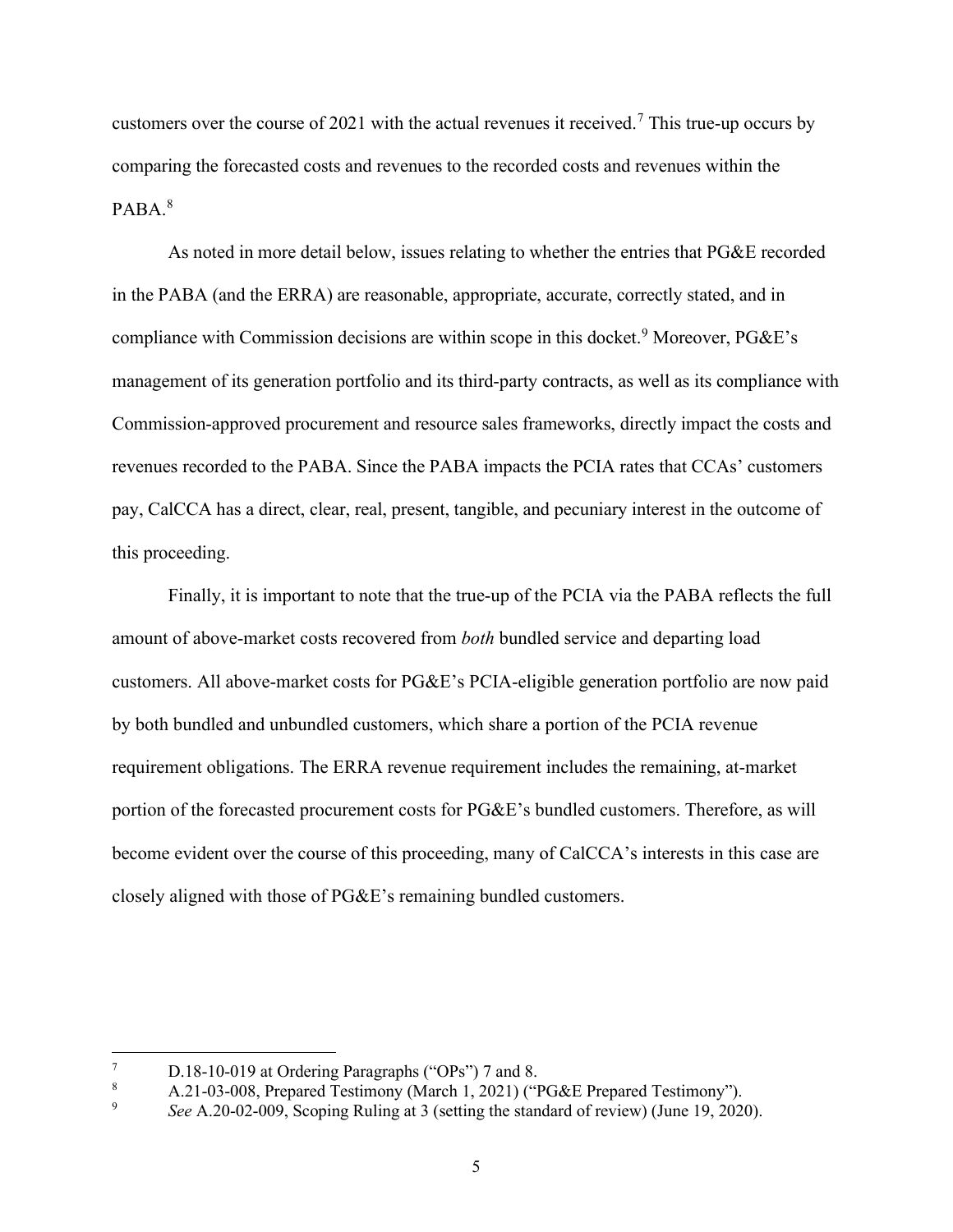customers over the course of 2021 with the actual revenues it received.<sup>[7](#page-7-0)</sup> This true-up occurs by comparing the forecasted costs and revenues to the recorded costs and revenues within the PABA.[8](#page-7-1)

As noted in more detail below, issues relating to whether the entries that PG&E recorded in the PABA (and the ERRA) are reasonable, appropriate, accurate, correctly stated, and in compliance with Commission decisions are within scope in this docket.<sup>[9](#page-7-2)</sup> Moreover,  $P G \& E$ 's management of its generation portfolio and its third-party contracts, as well as its compliance with Commission-approved procurement and resource sales frameworks, directly impact the costs and revenues recorded to the PABA. Since the PABA impacts the PCIA rates that CCAs' customers pay, CalCCA has a direct, clear, real, present, tangible, and pecuniary interest in the outcome of this proceeding.

Finally, it is important to note that the true-up of the PCIA via the PABA reflects the full amount of above-market costs recovered from *both* bundled service and departing load customers. All above-market costs for PG&E's PCIA-eligible generation portfolio are now paid by both bundled and unbundled customers, which share a portion of the PCIA revenue requirement obligations. The ERRA revenue requirement includes the remaining, at-market portion of the forecasted procurement costs for PG&E's bundled customers. Therefore, as will become evident over the course of this proceeding, many of CalCCA's interests in this case are closely aligned with those of PG&E's remaining bundled customers.

<span id="page-7-0"></span><sup>7</sup> D.18-10-019 at Ordering Paragraphs ("OPs") 7 and 8.

<span id="page-7-1"></span><sup>8</sup> A.21-03-008, Prepared Testimony (March 1, 2021) ("PG&E Prepared Testimony").

<span id="page-7-2"></span><sup>9</sup> *See* A.20-02-009, Scoping Ruling at 3 (setting the standard of review) (June 19, 2020).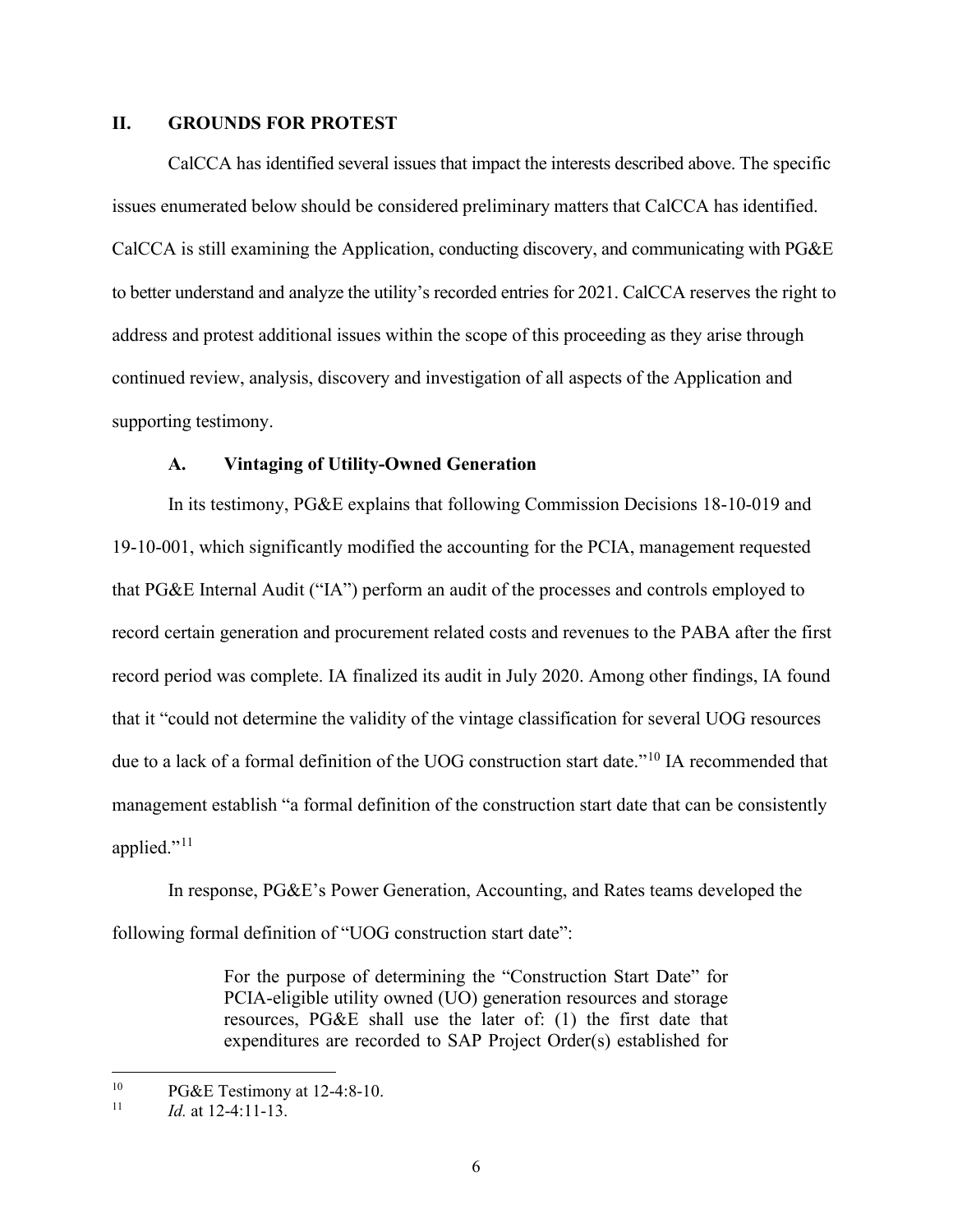#### <span id="page-8-0"></span>**II. GROUNDS FOR PROTEST**

CalCCA has identified several issues that impact the interests described above. The specific issues enumerated below should be considered preliminary matters that CalCCA has identified. CalCCA is still examining the Application, conducting discovery, and communicating with PG&E to better understand and analyze the utility's recorded entries for 2021. CalCCA reserves the right to address and protest additional issues within the scope of this proceeding as they arise through continued review, analysis, discovery and investigation of all aspects of the Application and supporting testimony.

#### **A. Vintaging of Utility-Owned Generation**

<span id="page-8-1"></span>In its testimony, PG&E explains that following Commission Decisions 18-10-019 and 19-10-001, which significantly modified the accounting for the PCIA, management requested that PG&E Internal Audit ("IA") perform an audit of the processes and controls employed to record certain generation and procurement related costs and revenues to the PABA after the first record period was complete. IA finalized its audit in July 2020. Among other findings, IA found that it "could not determine the validity of the vintage classification for several UOG resources due to a lack of a formal definition of the UOG construction start date."<sup>[10](#page-8-2)</sup> IA recommended that management establish "a formal definition of the construction start date that can be consistently applied."<sup>[11](#page-8-3)</sup>

In response, PG&E's Power Generation, Accounting, and Rates teams developed the following formal definition of "UOG construction start date":

> For the purpose of determining the "Construction Start Date" for PCIA-eligible utility owned (UO) generation resources and storage resources, PG&E shall use the later of: (1) the first date that expenditures are recorded to SAP Project Order(s) established for

<span id="page-8-3"></span><span id="page-8-2"></span><sup>&</sup>lt;sup>10</sup> PG&E Testimony at 12-4:8-10.<br><sup>11</sup>  $\frac{1}{6}$  et 12.4:11.12

*Id.* at 12-4:11-13.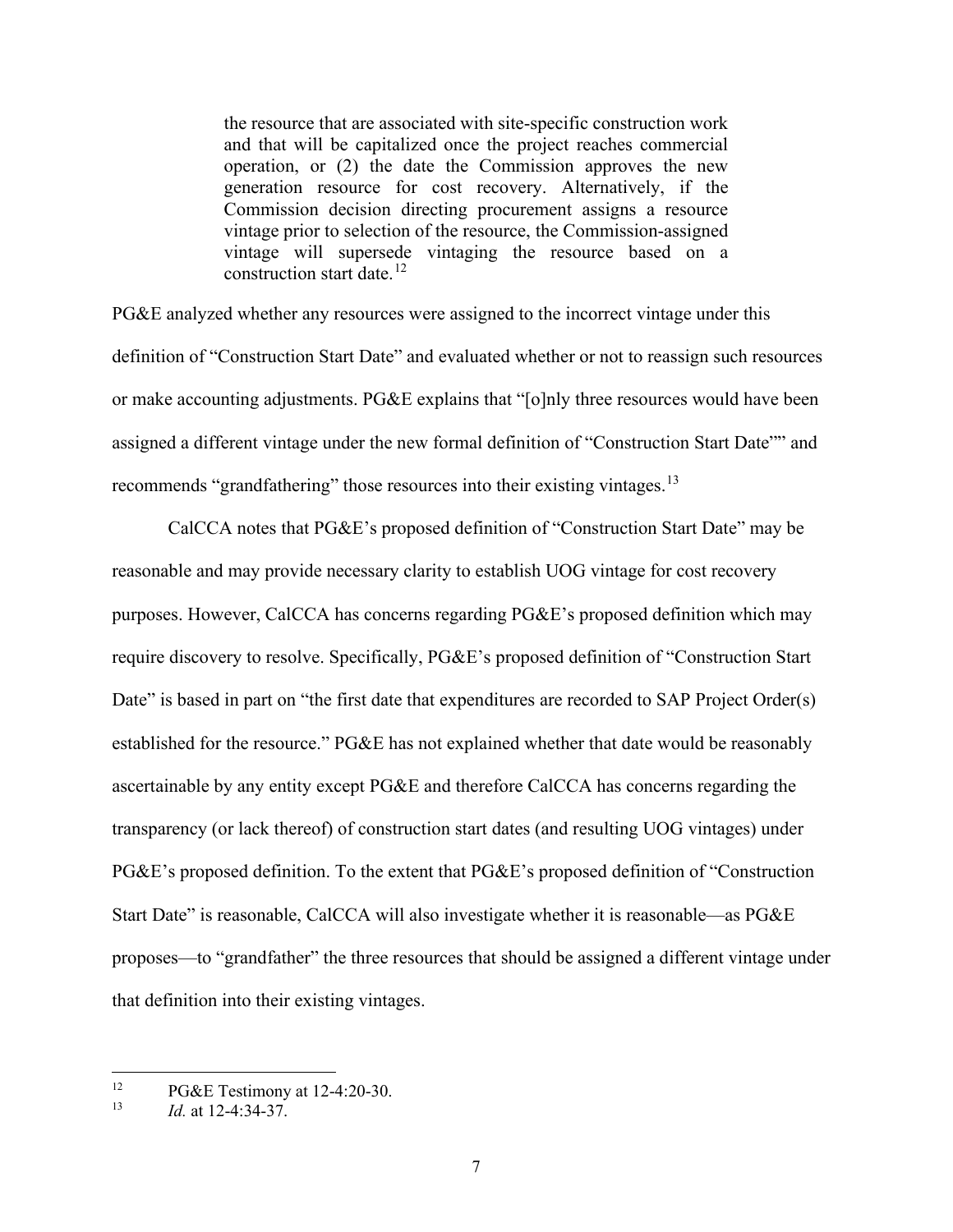the resource that are associated with site-specific construction work and that will be capitalized once the project reaches commercial operation, or (2) the date the Commission approves the new generation resource for cost recovery. Alternatively, if the Commission decision directing procurement assigns a resource vintage prior to selection of the resource, the Commission-assigned vintage will supersede vintaging the resource based on a construction start date. $12$ 

PG&E analyzed whether any resources were assigned to the incorrect vintage under this definition of "Construction Start Date" and evaluated whether or not to reassign such resources or make accounting adjustments. PG&E explains that "[o]nly three resources would have been assigned a different vintage under the new formal definition of "Construction Start Date"" and recommends "grandfathering" those resources into their existing vintages.<sup>[13](#page-9-1)</sup>

CalCCA notes that PG&E's proposed definition of "Construction Start Date" may be reasonable and may provide necessary clarity to establish UOG vintage for cost recovery purposes. However, CalCCA has concerns regarding PG&E's proposed definition which may require discovery to resolve. Specifically, PG&E's proposed definition of "Construction Start Date" is based in part on "the first date that expenditures are recorded to SAP Project Order(s) established for the resource." PG&E has not explained whether that date would be reasonably ascertainable by any entity except PG&E and therefore CalCCA has concerns regarding the transparency (or lack thereof) of construction start dates (and resulting UOG vintages) under PG&E's proposed definition. To the extent that PG&E's proposed definition of "Construction Start Date" is reasonable, CalCCA will also investigate whether it is reasonable—as PG&E proposes—to "grandfather" the three resources that should be assigned a different vintage under that definition into their existing vintages.

<span id="page-9-1"></span><span id="page-9-0"></span><sup>&</sup>lt;sup>12</sup> PG&E Testimony at 12-4:20-30.<br><sup>13</sup> *Id at* 12.4:24.27

<sup>13</sup> *Id.* at 12-4:34-37.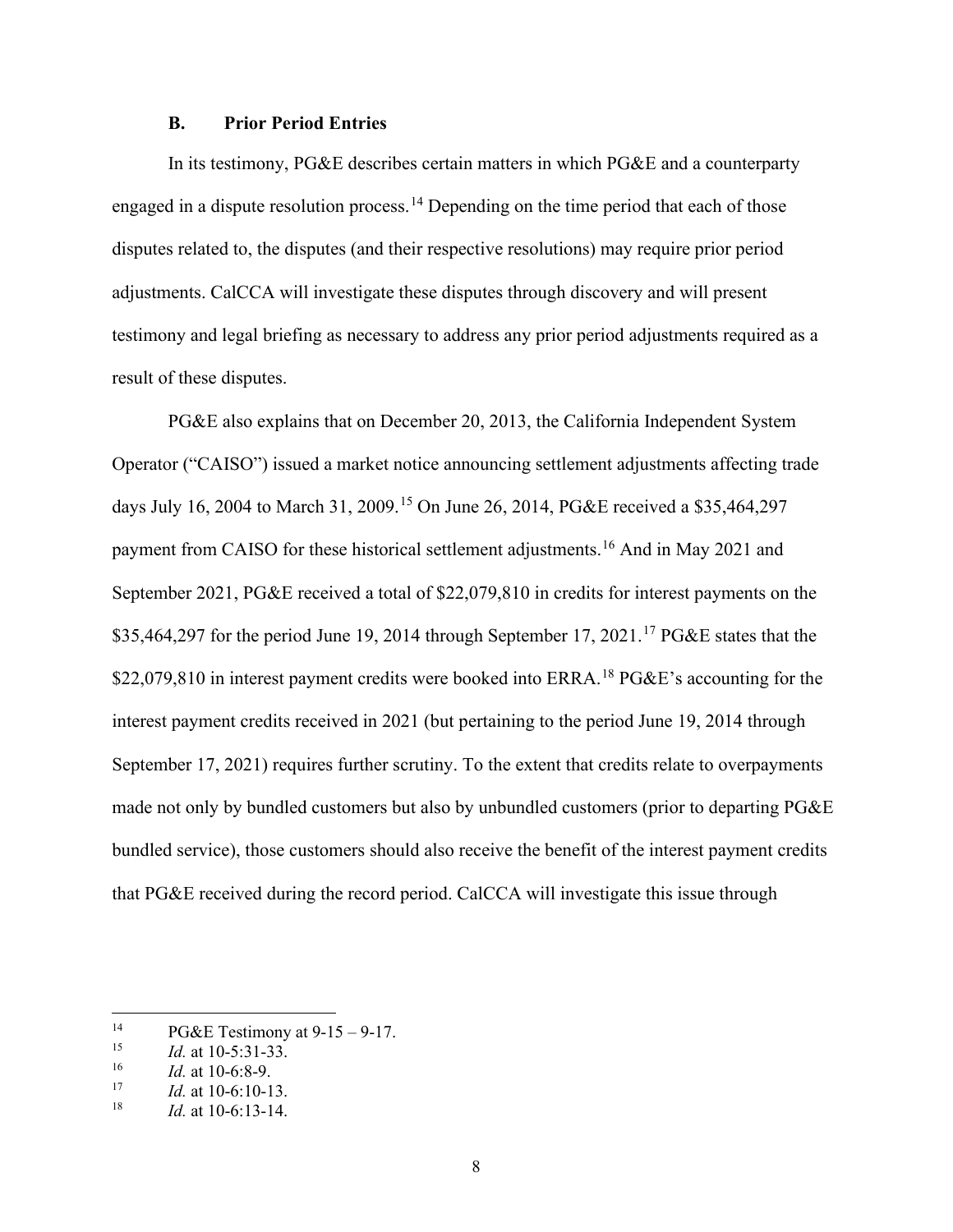#### **B. Prior Period Entries**

<span id="page-10-0"></span>In its testimony, PG&E describes certain matters in which PG&E and a counterparty engaged in a dispute resolution process.<sup>[14](#page-10-1)</sup> Depending on the time period that each of those disputes related to, the disputes (and their respective resolutions) may require prior period adjustments. CalCCA will investigate these disputes through discovery and will present testimony and legal briefing as necessary to address any prior period adjustments required as a result of these disputes.

PG&E also explains that on December 20, 2013, the California Independent System Operator ("CAISO") issued a market notice announcing settlement adjustments affecting trade days July 16, 2004 to March 31, 2009.<sup>[15](#page-10-2)</sup> On June 26, 2014, PG&E received a \$35,464,297 payment from CAISO for these historical settlement adjustments.[16](#page-10-3) And in May 2021 and September 2021, PG&E received a total of \$22,079,810 in credits for interest payments on the \$35,464,297 for the period June 19, 2014 through September [17](#page-10-4), 2021.<sup>17</sup> PG&E states that the \$22,079,810 in interest payment credits were booked into ERRA.<sup>18</sup> PG&E's accounting for the interest payment credits received in 2021 (but pertaining to the period June 19, 2014 through September 17, 2021) requires further scrutiny. To the extent that credits relate to overpayments made not only by bundled customers but also by unbundled customers (prior to departing PG&E bundled service), those customers should also receive the benefit of the interest payment credits that PG&E received during the record period. CalCCA will investigate this issue through

<span id="page-10-1"></span><sup>&</sup>lt;sup>14</sup> PG&E Testimony at 9-15 – 9-17.<br>
<sup>15</sup>  $A_{\text{at}}$  10.5:31.33

<span id="page-10-2"></span><sup>&</sup>lt;sup>15</sup> *Id.* at 10-5:31-33.<br><sup>16</sup> *Id.* at 10.6:8. **0** 

<span id="page-10-3"></span> $\frac{16}{17}$  *Id.* at 10-6:8-9.

<span id="page-10-4"></span> $17$  *Id.* at 10-6:10-13.<br><sup>18</sup> *Id.* at 10.6:13.14

<span id="page-10-5"></span>*Id.* at 10-6:13-14.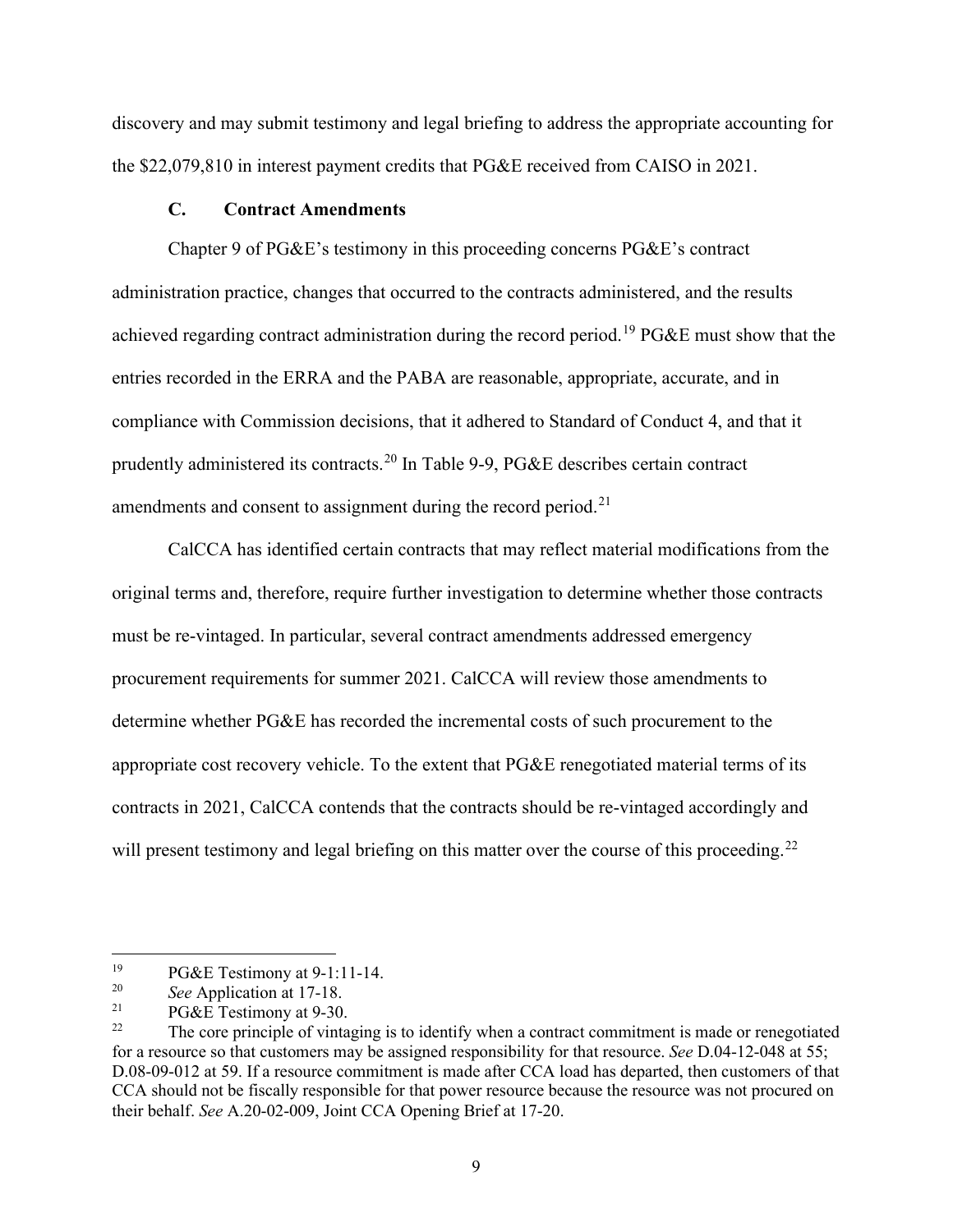discovery and may submit testimony and legal briefing to address the appropriate accounting for the \$22,079,810 in interest payment credits that PG&E received from CAISO in 2021.

#### **C. Contract Amendments**

<span id="page-11-0"></span>Chapter 9 of PG&E's testimony in this proceeding concerns PG&E's contract administration practice, changes that occurred to the contracts administered, and the results achieved regarding contract administration during the record period.<sup>[19](#page-11-1)</sup> PG&E must show that the entries recorded in the ERRA and the PABA are reasonable, appropriate, accurate, and in compliance with Commission decisions, that it adhered to Standard of Conduct 4, and that it prudently administered its contracts.[20](#page-11-2) In Table 9-9, PG&E describes certain contract amendments and consent to assignment during the record period.<sup>21</sup>

CalCCA has identified certain contracts that may reflect material modifications from the original terms and, therefore, require further investigation to determine whether those contracts must be re-vintaged. In particular, several contract amendments addressed emergency procurement requirements for summer 2021. CalCCA will review those amendments to determine whether PG&E has recorded the incremental costs of such procurement to the appropriate cost recovery vehicle. To the extent that PG&E renegotiated material terms of its contracts in 2021, CalCCA contends that the contracts should be re-vintaged accordingly and will present testimony and legal briefing on this matter over the course of this proceeding.<sup>[22](#page-11-4)</sup>

<span id="page-11-1"></span><sup>&</sup>lt;sup>19</sup> PG&E Testimony at 9-1:11-14.<br><sup>20</sup> See Application at 17.18

<span id="page-11-2"></span><sup>&</sup>lt;sup>20</sup> *See* Application at 17-18.

<span id="page-11-3"></span><sup>&</sup>lt;sup>21</sup> PG&E Testimony at 9-30.<br><sup>22</sup> The core principle of vinta

<span id="page-11-4"></span>The core principle of vintaging is to identify when a contract commitment is made or renegotiated for a resource so that customers may be assigned responsibility for that resource. *See* D.04-12-048 at 55; D.08-09-012 at 59. If a resource commitment is made after CCA load has departed, then customers of that CCA should not be fiscally responsible for that power resource because the resource was not procured on their behalf. *See* A.20-02-009, Joint CCA Opening Brief at 17-20.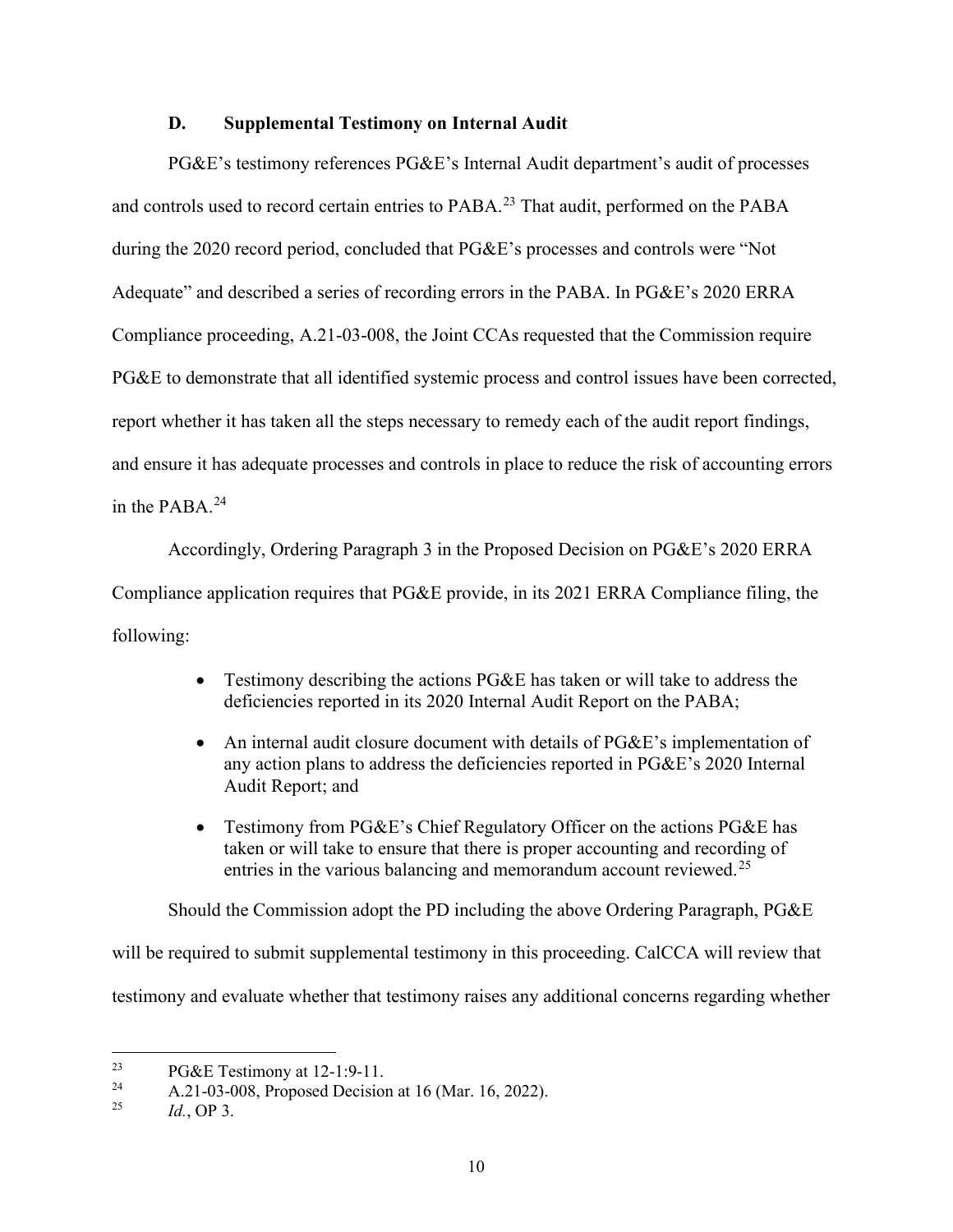#### **D. Supplemental Testimony on Internal Audit**

<span id="page-12-0"></span>PG&E's testimony references PG&E's Internal Audit department's audit of processes and controls used to record certain entries to PABA.<sup>23</sup> That audit, performed on the PABA during the 2020 record period, concluded that PG&E's processes and controls were "Not Adequate" and described a series of recording errors in the PABA. In PG&E's 2020 ERRA Compliance proceeding, A.21-03-008, the Joint CCAs requested that the Commission require PG&E to demonstrate that all identified systemic process and control issues have been corrected, report whether it has taken all the steps necessary to remedy each of the audit report findings, and ensure it has adequate processes and controls in place to reduce the risk of accounting errors in the PABA. $^{24}$  $^{24}$  $^{24}$ 

Accordingly, Ordering Paragraph 3 in the Proposed Decision on PG&E's 2020 ERRA Compliance application requires that PG&E provide, in its 2021 ERRA Compliance filing, the following:

- Testimony describing the actions PG&E has taken or will take to address the deficiencies reported in its 2020 Internal Audit Report on the PABA;
- An internal audit closure document with details of PG&E's implementation of any action plans to address the deficiencies reported in PG&E's 2020 Internal Audit Report; and
- Testimony from PG&E's Chief Regulatory Officer on the actions PG&E has taken or will take to ensure that there is proper accounting and recording of entries in the various balancing and memorandum account reviewed.<sup>[25](#page-12-3)</sup>

Should the Commission adopt the PD including the above Ordering Paragraph, PG&E

will be required to submit supplemental testimony in this proceeding. CalCCA will review that

testimony and evaluate whether that testimony raises any additional concerns regarding whether

<span id="page-12-1"></span><sup>&</sup>lt;sup>23</sup> PG&E Testimony at 12-1:9-11.<br> $\frac{24}{(21.03 \cdot 0.08 \cdot \text{Proposed Decision})}$ 

<span id="page-12-3"></span><span id="page-12-2"></span><sup>24</sup> A.21-03-008, Proposed Decision at 16 (Mar. 16, 2022). 25 *Id.*, OP 3.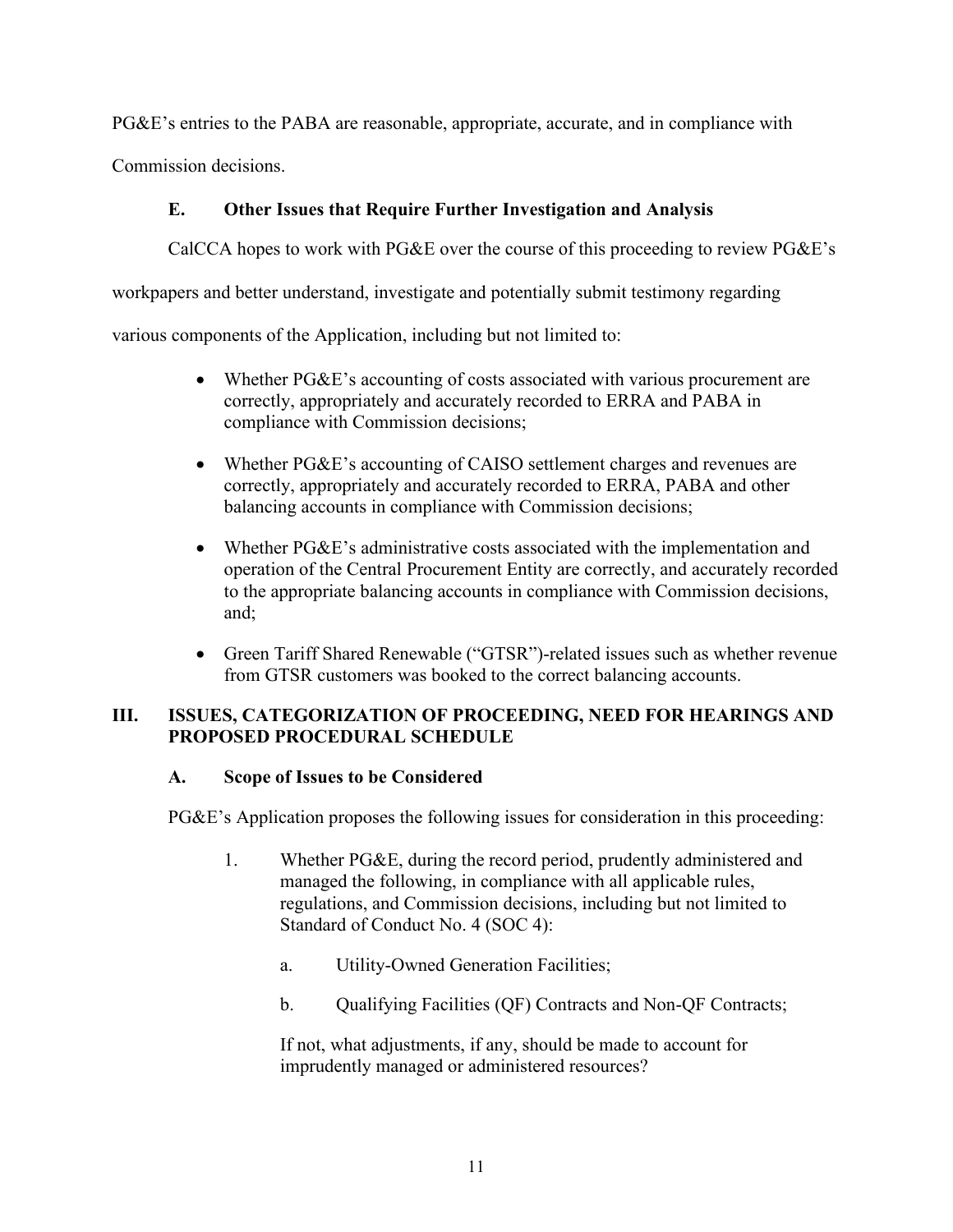PG&E's entries to the PABA are reasonable, appropriate, accurate, and in compliance with

<span id="page-13-0"></span>Commission decisions.

# **E. Other Issues that Require Further Investigation and Analysis**

CalCCA hopes to work with PG&E over the course of this proceeding to review PG&E's

workpapers and better understand, investigate and potentially submit testimony regarding

various components of the Application, including but not limited to:

- Whether PG&E's accounting of costs associated with various procurement are correctly, appropriately and accurately recorded to ERRA and PABA in compliance with Commission decisions;
- Whether PG&E's accounting of CAISO settlement charges and revenues are correctly, appropriately and accurately recorded to ERRA, PABA and other balancing accounts in compliance with Commission decisions;
- Whether PG&E's administrative costs associated with the implementation and operation of the Central Procurement Entity are correctly, and accurately recorded to the appropriate balancing accounts in compliance with Commission decisions, and;
- Green Tariff Shared Renewable ("GTSR")-related issues such as whether revenue from GTSR customers was booked to the correct balancing accounts.

## <span id="page-13-1"></span>**III. ISSUES, CATEGORIZATION OF PROCEEDING, NEED FOR HEARINGS AND PROPOSED PROCEDURAL SCHEDULE**

## <span id="page-13-2"></span>**A. Scope of Issues to be Considered**

PG&E's Application proposes the following issues for consideration in this proceeding:

- 1. Whether PG&E, during the record period, prudently administered and managed the following, in compliance with all applicable rules, regulations, and Commission decisions, including but not limited to Standard of Conduct No. 4 (SOC 4):
	- a. Utility-Owned Generation Facilities;
	- b. Qualifying Facilities (QF) Contracts and Non-QF Contracts;

If not, what adjustments, if any, should be made to account for imprudently managed or administered resources?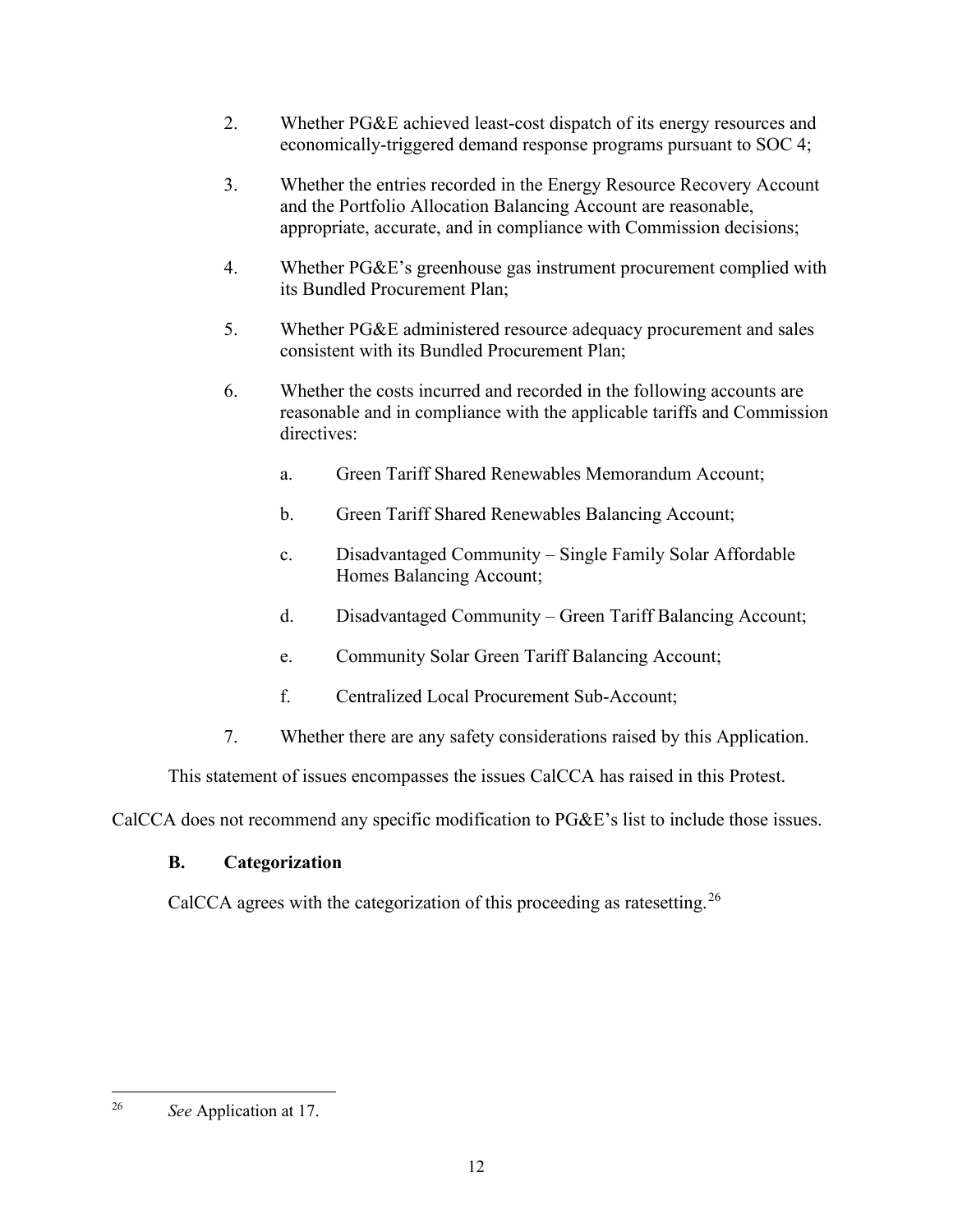- 2. Whether PG&E achieved least-cost dispatch of its energy resources and economically-triggered demand response programs pursuant to SOC 4;
- 3. Whether the entries recorded in the Energy Resource Recovery Account and the Portfolio Allocation Balancing Account are reasonable, appropriate, accurate, and in compliance with Commission decisions;
- 4. Whether PG&E's greenhouse gas instrument procurement complied with its Bundled Procurement Plan;
- 5. Whether PG&E administered resource adequacy procurement and sales consistent with its Bundled Procurement Plan;
- 6. Whether the costs incurred and recorded in the following accounts are reasonable and in compliance with the applicable tariffs and Commission directives:
	- a. Green Tariff Shared Renewables Memorandum Account;
	- b. Green Tariff Shared Renewables Balancing Account;
	- c. Disadvantaged Community Single Family Solar Affordable Homes Balancing Account;
	- d. Disadvantaged Community Green Tariff Balancing Account;
	- e. Community Solar Green Tariff Balancing Account;
	- f. Centralized Local Procurement Sub-Account;
- 7. Whether there are any safety considerations raised by this Application.

This statement of issues encompasses the issues CalCCA has raised in this Protest.

<span id="page-14-0"></span>CalCCA does not recommend any specific modification to PG&E's list to include those issues.

## **B. Categorization**

CalCCA agrees with the categorization of this proceeding as ratesetting.<sup>[26](#page-14-1)</sup>

<span id="page-14-1"></span><sup>26</sup> *See* Application at 17.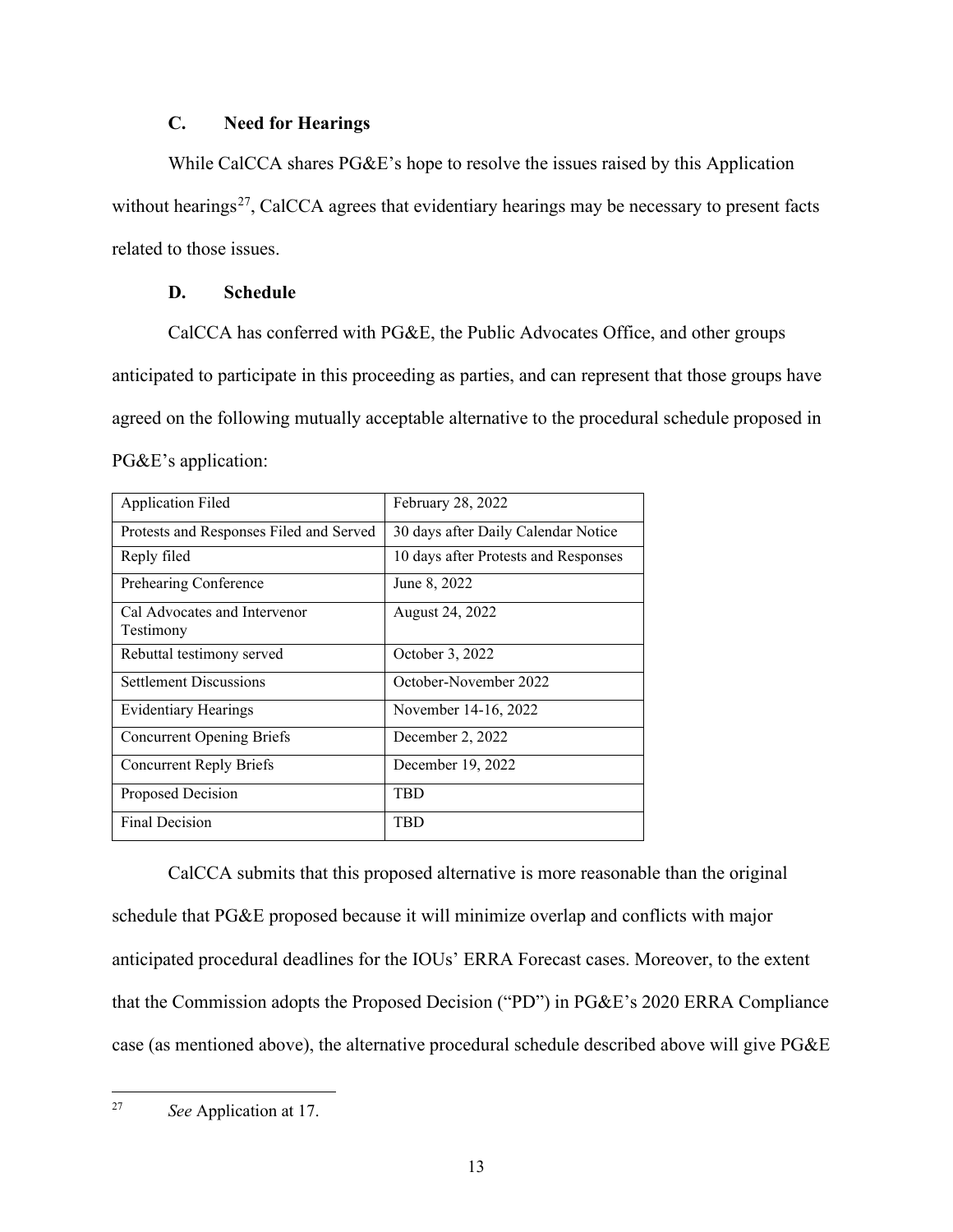## **C. Need for Hearings**

<span id="page-15-0"></span>While CalCCA shares PG&E's hope to resolve the issues raised by this Application without hearings<sup>[27](#page-15-2)</sup>, CalCCA agrees that evidentiary hearings may be necessary to present facts related to those issues.

### **D. Schedule**

<span id="page-15-1"></span>CalCCA has conferred with PG&E, the Public Advocates Office, and other groups anticipated to participate in this proceeding as parties, and can represent that those groups have agreed on the following mutually acceptable alternative to the procedural schedule proposed in PG&E's application:

| <b>Application Filed</b>                  | February 28, 2022                    |
|-------------------------------------------|--------------------------------------|
| Protests and Responses Filed and Served   | 30 days after Daily Calendar Notice  |
| Reply filed                               | 10 days after Protests and Responses |
| Prehearing Conference                     | June 8, 2022                         |
| Cal Advocates and Intervenor<br>Testimony | August 24, 2022                      |
| Rebuttal testimony served                 | October 3, 2022                      |
| <b>Settlement Discussions</b>             | October-November 2022                |
| Evidentiary Hearings                      | November 14-16, 2022                 |
| <b>Concurrent Opening Briefs</b>          | December 2, 2022                     |
| <b>Concurrent Reply Briefs</b>            | December 19, 2022                    |
| Proposed Decision                         | TBD                                  |
| Final Decision                            | TBD                                  |

CalCCA submits that this proposed alternative is more reasonable than the original schedule that PG&E proposed because it will minimize overlap and conflicts with major anticipated procedural deadlines for the IOUs' ERRA Forecast cases. Moreover, to the extent that the Commission adopts the Proposed Decision ("PD") in PG&E's 2020 ERRA Compliance case (as mentioned above), the alternative procedural schedule described above will give PG&E

<span id="page-15-2"></span><sup>27</sup> *See* Application at 17.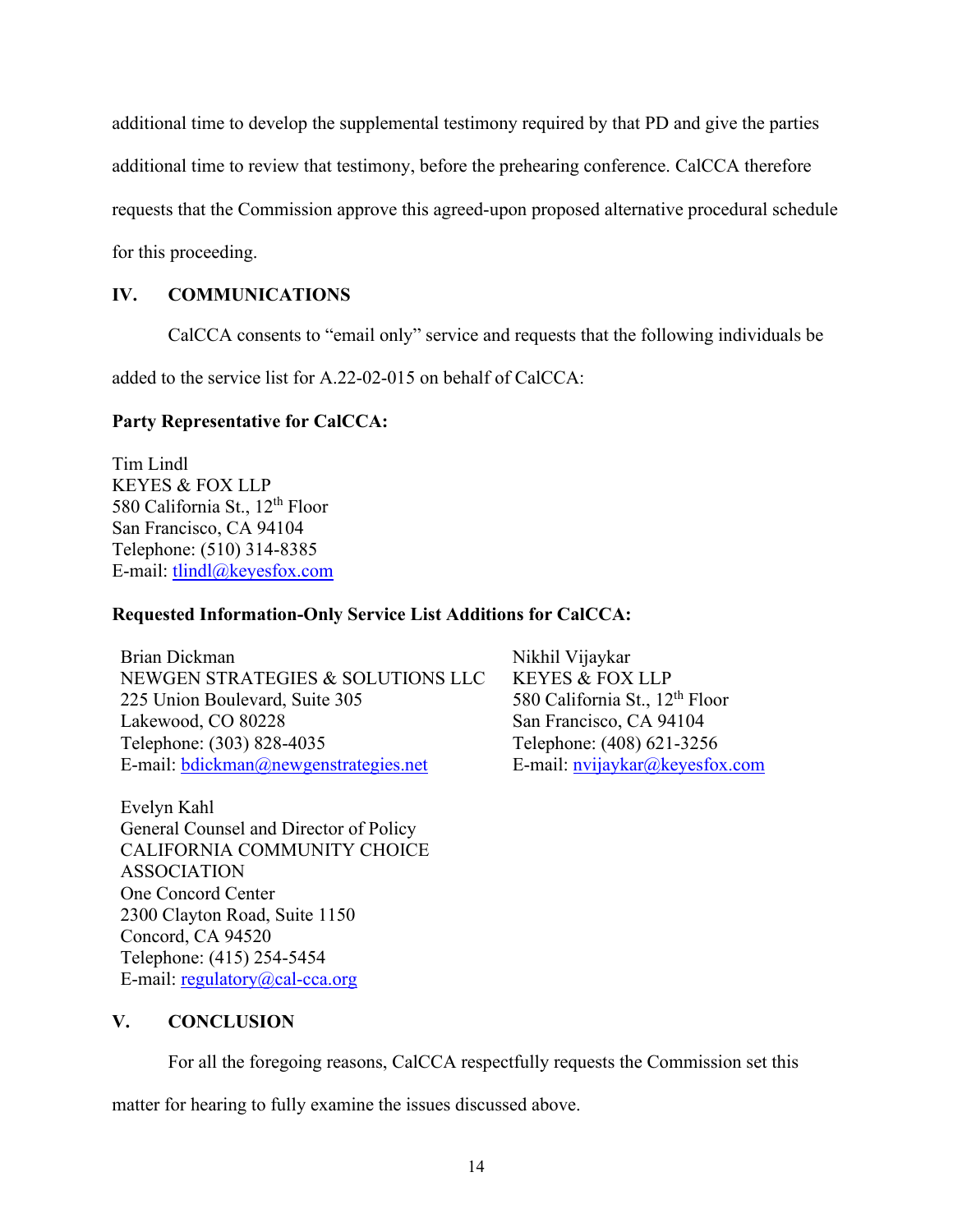additional time to develop the supplemental testimony required by that PD and give the parties

additional time to review that testimony, before the prehearing conference. CalCCA therefore

requests that the Commission approve this agreed-upon proposed alternative procedural schedule

for this proceeding.

### <span id="page-16-0"></span>**IV. COMMUNICATIONS**

CalCCA consents to "email only" service and requests that the following individuals be

added to the service list for A.22-02-015 on behalf of CalCCA:

#### **Party Representative for CalCCA:**

Tim Lindl KEYES & FOX LLP 580 California St., 12<sup>th</sup> Floor San Francisco, CA 94104 Telephone: (510) 314-8385 E-mail: [tlindl@keyesfox.com](mailto:tlindl@keyesfox.com) 

#### **Requested Information-Only Service List Additions for CalCCA:**

Brian Dickman NEWGEN STRATEGIES & SOLUTIONS LLC 225 Union Boulevard, Suite 305 Lakewood, CO 80228 Telephone: (303) 828-4035 E-mail: [bdickman@newgenstrategies.net](mailto:bdickman@newgenstrategies.net) 

Nikhil Vijaykar KEYES & FOX LLP 580 California St., 12<sup>th</sup> Floor San Francisco, CA 94104 Telephone: (408) 621-3256 E-mail: [nvijaykar@keyesfox.com](mailto:nvijaykar@keyesfox.com) 

Evelyn Kahl General Counsel and Director of Policy CALIFORNIA COMMUNITY CHOICE ASSOCIATION One Concord Center 2300 Clayton Road, Suite 1150 Concord, CA 94520 Telephone: (415) 254-5454 E-mail: [regulatory@cal-cca.org](mailto:regulatory@cal-cca.org)

### <span id="page-16-1"></span>**V. CONCLUSION**

For all the foregoing reasons, CalCCA respectfully requests the Commission set this

matter for hearing to fully examine the issues discussed above.